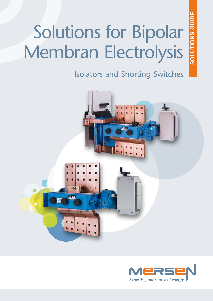# Solutions for Bipolar Membran Electrolysis

SOLUTIONS GUIDE **SOLUTIONS GUIDE**

Isolators and Shorting Switches



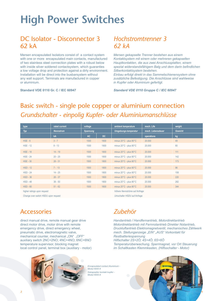# **High Power Switches**

## DC Isolator - Disconnector 3 62 kA

Mersen encapsulated Isolators consist of a contact system with one or more encapsulated main contacts, manufactured of two stainless steel connection plates with a robust below with inside silver soldered contactsystem, which guaranties a low voltage drop and protection against a dirty environment. Installation will be direct into the busbarsystem without any wall support. Terminals are manufactured in copper or aluminium.

**Standard VDE 0110 Gr. C / IEC 60947**

### *Hochstromtrenner 3 62 kA*

*Mersen gekapselte Trenner bestehen aus einem Kontaktsystem mit einem oder mehreren gekapselten Hauptkontakten, die aus zwei Anschlussplatten, einem spezial widerstandsfähigem Balg und dem darin befindlichen Silberkontaktsystem bestehen. Einbau erfolgt direkt in das Sammelschienensystem ohne* 

*zusätzliche Befestigung. Die Anschlüsse sind wahlweise in Kupfer oder Aluminium gefertigt.*

*Standard VDE 0110 Gruppe C / IEC 60947*

# Basic switch - single pole copper or aluminium connection *Grundschalter - einpolig Kupfer- oder Aluminiumanschlüsse*

| type                        | rated current    | voltage         |      | ambient temperature                        | mech. Life        | weight         |
|-----------------------------|------------------|-----------------|------|--------------------------------------------|-------------------|----------------|
| Typ                         | <b>Nennstrom</b> | <b>Spannung</b> |      | Umgebungs-temperatur                       | mech. Lebensdauer | <b>Gewicht</b> |
|                             | kA               | AC              | DC   |                                            | operations        | kg             |
| $HSE - 6$                   | $3 - 7$          | 1500            | 1800 | minus $20^{\circ}$ C - plus $80^{\circ}$ C | 20.000            | 49             |
| <b>HSE - 12</b>             | $8 - 13$         | 1500            | 1800 | minus $20^{\circ}$ C - plus $80^{\circ}$ C | 20.000            | 80             |
| <b>HSE - 18</b>             | $14 - 19$        | 1500            | 1800 | minus $20^{\circ}$ C - plus $80^{\circ}$ C | 20.000            | 111            |
| $HSE - 24$                  | $20 - 25$        | 1500            | 1800 | minus $20^{\circ}$ C - plus $80^{\circ}$ C | 20,000            | 142            |
| $HSE - 30$                  | $26 - 31$        | 1500            | 1800 | minus $20^{\circ}$ C - plus $80^{\circ}$ C | 20,000            | 173            |
| $HSD - 12$                  | $7 - 13$         | 1500            | 1800 | minus $20^{\circ}$ C - plus $80^{\circ}$ C | 20.000            | 96             |
| $HSD - 24$                  | $14 - 25$        | 1500            | 1800 | minus $20^{\circ}$ C - plus $80^{\circ}$ C | 20.000            | 158            |
| $HSD - 36$                  | $26 - 37$        | 1500            | 1800 | minus $20^{\circ}$ C - plus $80^{\circ}$ C | 20.000            | 220            |
| $HSD - 48$                  | $38 - 50$        | 1500            | 1800 | minus 20°C - plus 80°C                     | 20.000            | 282            |
| $HSD - 60$                  | $51 - 62$        | 1500            | 1800 | minus $20^{\circ}$ C - plus $80^{\circ}$ C | 20.000            | 344            |
| higher ratings upon request |                  |                 |      | höhere Nennströme auf Anfrage              |                   |                |

higher ratings upon request

Change over switch HSDU upon request

# Accessories

direct manual drive, remote manual gear drive direct motor drive, motor drive with remote emergency drive, direct emergency wheel, pneumatic drive, electromagnetic valve, mechanical counter, mechanical "ON" "OFF" auxiliary switch 2NC+2NO; 4NC+4NO; 6NC+6NO temperature supervisor, blocking magnet local control panel, terminal box (auxiliary - motor)



*Encapsulated contact Aluminium - Modul 6000 A Gekapselter kontakt kupfer - Modul 6000 A*

# *Zubehör*

*Umschalter HSDU auf Anfrage*

*Handantrieb / Handfernantrieb, Motordirektantrieb Motordirektantrieb mit Fernnotantrieb Direkter Notantrieb, Druckluftantrieb Elektromagnetventil, mechanisches Zählwerk mech. Stellunganzeige "EIN" "AUS" Vorkontakt für Restbatteriespannung Hilfschalter 2S+2Ö; 4S+4Ö; 6S+6Ö Temperaturüberwachung, Sperrmagnet, vor Ort Steuerung im Schaltkasten Klemmkasten, (Hilfsschalter - Motor)*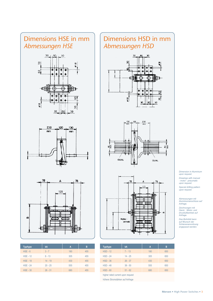

| <b>Typ/type</b> | kA        | A   | в   |
|-----------------|-----------|-----|-----|
| $HSE - 6$       | $3 - 7$   | 180 | 455 |
| $HSE - 12$      | $8 - 13$  | 305 | 455 |
| <b>HSE - 18</b> | $14 - 19$ | 430 | 455 |
| $HSE - 24$      | $20 - 25$ | 555 | 455 |
| $HSE - 30$      | $26 - 31$ | 680 | 455 |

# Dimensions HSD in mm *Abmessungen HSD*







| <b>Typ/type</b>                   | kA        | A   | B   |  |  |
|-----------------------------------|-----------|-----|-----|--|--|
| $HSD - 12$                        | $7 - 13$  | 180 | 650 |  |  |
| $HSD - 24$                        | $14 - 25$ | 305 | 650 |  |  |
| $HSD - 36$                        | $26 - 37$ | 430 | 650 |  |  |
| $HSD - 48$                        | $38 - 50$ | 555 | 650 |  |  |
| $HSD - 60$                        | $51 - 62$ | 680 | 650 |  |  |
| higher rated current upon request |           |     |     |  |  |

höhere Stromstärken auf Anfrage

*Dimension in Aluminium upon request.*

*Drawings with manual - motor - pneumatic upon request.*

*Special drilling pattern upon request.*

*Abmessungen mit Aluminiumanschluss auf Anfrage.*

*Zeichnungen mit Hand-, Motor- und Druckluftantrieb auf Anfrage.*

*Das Bohrbild kann auf Wunsch der Schienenanordnung angepasst werden.*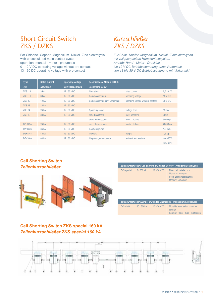# Short Circuit Switch ZKS / DZKS

For Chlorine- Copper- Magnesium- Nickel- Zinc electrolysis with encapsulated main contact system operation: manual - motor - pneumatic 0 - 12 V DC operating voltage without pre contact

13 - 30 DC operating voltage with pre contact

# *Kurzschließer ZKS / DZKS*

*Für Chlor- Kupfer- Magnesium- Nickel- Zinkelektrolysen mit vollgekapselten Haupkontaktsystem Antrieb: Hand - Motor - Druckluft bis 12 V DC Betriebsspannung ohne Vorkontakt von 13 bis 30 V DC Betriebsspannung mit Vorkontakt*

| <b>Type</b>        | <b>Rated current</b> | <b>Operating voltage</b> | Technical data Module 6000 K    |                                    |                     |
|--------------------|----------------------|--------------------------|---------------------------------|------------------------------------|---------------------|
| Typ                | <b>Nennstrom</b>     | <b>Betriebsspannung</b>  | <b>Technische Daten</b>         |                                    |                     |
| ZKS <sub>3</sub>   | 3 kA                 | 12 - 30 VDC              | Nennstrom                       | rated current                      | 6.5 kA DC           |
| ZKS 6              | 6 <sub>k</sub> A     | 12 - 30 VDC              | Betriebsspannung                | operating voltage                  | <b>12 V DC</b>      |
| <b>ZKS 12</b>      | <b>12 kA</b>         | 12 - 30 VDC              | Betriebsspannung mit Vorkontakt | operating voltage with pre-contact | 30 V DC             |
| <b>ZKS 18</b>      | 18 kA                | 12 - 30 VDC              |                                 |                                    |                     |
| <b>ZKS 24</b>      | 24 kA                | 12 - 30 VDC              | Spannungsabfall                 | voltage drop                       | $15$ mV             |
| <b>ZKS 30</b>      | 30 kA                | 12 - 30 VDC              | max. Schaltzahl                 | max. operating                     | 300/s               |
|                    |                      |                          | elektr. Lebensdauer             | electr. Lifetime                   | 5000 op.            |
| DZKS 24            | 24 kA                | 12 - 30 VDC              | mech. Lebensdauer               | mech. Lifetime                     | 20000 op.           |
| DZKS 36            | 36 kA                | 12 - 30 VDC              | Betätigungskraft                |                                    | $1,5$ kpm           |
| DZKS48             | 48 kA                | 12 - 30 VDC              | <b>Gewicht</b>                  | weight                             | $1,5$ kg            |
| DZKS <sub>60</sub> | 60 kA                | 12 - 30 VDC              | Umgebungs-temperatur            | ambient temperature                | min $-20^{\circ}$ C |
|                    |                      |                          |                                 |                                    | $max 60^{\circ}$ C  |

#### **Cell Shorting Switch** *Zellenkurzschließer*



| Zellenkurzschließer / Cell Shorting Switch for Mercury - Amalgam Elektrolysen |            |               |                                                                                                     |  |  |
|-------------------------------------------------------------------------------|------------|---------------|-----------------------------------------------------------------------------------------------------|--|--|
| <b>ZKS</b> special                                                            | 6 - 300 kA | $12 - 30$ VDC | Fixed cell installation -<br>Mercury - Amalgam<br>Feste Zelleninstallationen -<br>Mercury - Amalgam |  |  |

| Zellenkurzschließer /Jumper Switch for Diaphragma - Magnesium Elektrolysen |              |               |                                                                                 |  |  |  |
|----------------------------------------------------------------------------|--------------|---------------|---------------------------------------------------------------------------------|--|--|--|
| ZKS - MO                                                                   | $30 - 300kA$ | $12 - 30$ VDC | Movable by wheels - cran - air<br>cushion<br>Fahrbar: Räder - Kran - Luftkissen |  |  |  |

#### **Cell Shorting Switch ZKS special 160 kA**  *Zellenkurzschließer ZKS special 160 kA*

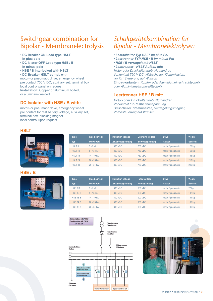# Switchgear combination for Bipolar - Membranelectrolysis

- **DC Breaker ON Load type HSLT in plus pole**
- **DC Islator OFF Load type HSE / B in minus pole**
- **HSE / B interlocked with HSLT**
- **DC Breaker HSLT compl. with:**

motor- or pneumatic drive, emergency wheel pre contact 750 V DC, auxiliary set, terminal box local control panel on request **Installation:** Copper or aluminium bolted, or aluminium welded

#### **DC Isolator with HSE / B with:**

motor- or pneumatic drive, emergency wheel pre contact for rest battery voltage, auxiliary set, terminal box, blocking magnet local control upon request

# *Schaltgerätekombination für Bipolar - Membranelektrolysen*

- *Lastschalter Typ HSLT im plus Pol*
- *Leertrenner TYP HSE / B im minus Pol*
- *HSE / B verriegelt mit HSLT*

*• Lasttrenner - HSLT Aufbau mit: Motor oder Druckluftantrieb, Nothandrad Vorkontakt 750 V DC; Hilfsschalter, Klemmkasten, vor Ort Steuerung auf Wunsch* **Einbauvarianten:** *Kupfer- oder Aluminiumeinschraubtechnik oder Aluminiumeinschweißtechnik*

#### **Leertrenner HSE / B mit:**

*Motor- oder Druckluftantrieb, Nothandrad Vorkontakt für Restbatteriespannung Hilfsschalter, Klemmkasten, Verriegelungsmagnet, Vorortsteuerung auf Wunsch*

#### **HSLT**



#### **HSE / B**



| <b>Type</b>        | <b>Rated current</b> | Insulation voltage        | <b>Operating voltage</b> | <b>Drive</b>      | Weight         |
|--------------------|----------------------|---------------------------|--------------------------|-------------------|----------------|
| Typ                | <b>Nennstrom</b>     | <b>Isolationsspannung</b> | <b>Betriebsspannung</b>  | <b>Antrieb</b>    | <b>Gewicht</b> |
| HSLT <sub>6</sub>  | $3 - 7kA$            | 1800 VDC                  | <b>750 VDC</b>           | motor / pneumatic | 125 kg         |
| HSLT <sub>12</sub> | $8 - 13 kA$          | <b>1800 VDC</b>           | <b>750 VDC</b>           | motor / pneumatic | 155 kg         |
| HSLT <sub>18</sub> | 14 - 19 kA           | <b>1800 VDC</b>           | <b>750 VDC</b>           | motor / pneumatic | 185 kg         |
| HSLT <sub>24</sub> | 20 - 25 kA           | <b>1800 VDC</b>           | <b>750 VDC</b>           | motor / pneumatic | 216 kg         |
| HSLT 30            | $26 - 31$ kA         | <b>1800 VDC</b>           | <b>750 VDC</b>           | motor / pneumatic | 246 kg         |
|                    |                      |                           |                          |                   |                |

| <b>Type</b>     | <b>Rated current</b> | <b>Insulation voltage</b> | <b>Rated voltage</b> | <b>Drive</b>      | Weight         |
|-----------------|----------------------|---------------------------|----------------------|-------------------|----------------|
| Typ             | <b>Nennstrom</b>     | Isolationsspannung        | Nennspannung         | <b>Antrieb</b>    | <b>Gewicht</b> |
| HSE 6 B         | $3 - 7kA$            | 1800 VDC                  | 900 VDC              | motor / pneumatic | 72 kg          |
| <b>HSE 12 B</b> | $8 - 13 kA$          | <b>1800 VDC</b>           | 900 VDC              | motor / pneumatic | 102 kg         |
| <b>HSE 18 B</b> | 14 - 19 kA           | 1800 VDC                  | 900 VDC              | motor / pneumatic | 134 kg         |
| <b>HSE 24 B</b> | 20 - 25 kA           | <b>1800 VDC</b>           | 900 VDC              | motor / pneumatic | 165 kg         |
| <b>HSE 30 B</b> | $26 - 31$ kA         | <b>1800 VDC</b>           | 900 VDC              | motor / pneumatic | 196 kg         |